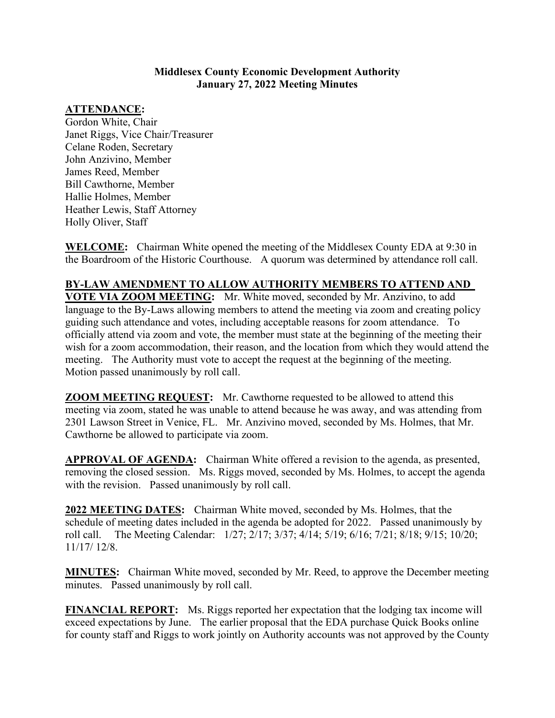#### **Middlesex County Economic Development Authority January 27, 2022 Meeting Minutes**

# **ATTENDANCE:**

Gordon White, Chair Janet Riggs, Vice Chair/Treasurer Celane Roden, Secretary John Anzivino, Member James Reed, Member Bill Cawthorne, Member Hallie Holmes, Member Heather Lewis, Staff Attorney Holly Oliver, Staff

**WELCOME:** Chairman White opened the meeting of the Middlesex County EDA at 9:30 in the Boardroom of the Historic Courthouse. A quorum was determined by attendance roll call.

## **BY-LAW AMENDMENT TO ALLOW AUTHORITY MEMBERS TO ATTEND AND**

**VOTE VIA ZOOM MEETING:** Mr. White moved, seconded by Mr. Anzivino, to add language to the By-Laws allowing members to attend the meeting via zoom and creating policy guiding such attendance and votes, including acceptable reasons for zoom attendance. To officially attend via zoom and vote, the member must state at the beginning of the meeting their wish for a zoom accommodation, their reason, and the location from which they would attend the meeting. The Authority must vote to accept the request at the beginning of the meeting. Motion passed unanimously by roll call.

**ZOOM MEETING REQUEST:** Mr. Cawthorne requested to be allowed to attend this meeting via zoom, stated he was unable to attend because he was away, and was attending from 2301 Lawson Street in Venice, FL. Mr. Anzivino moved, seconded by Ms. Holmes, that Mr. Cawthorne be allowed to participate via zoom.

**APPROVAL OF AGENDA:** Chairman White offered a revision to the agenda, as presented, removing the closed session. Ms. Riggs moved, seconded by Ms. Holmes, to accept the agenda with the revision. Passed unanimously by roll call.

**2022 MEETING DATES:** Chairman White moved, seconded by Ms. Holmes, that the schedule of meeting dates included in the agenda be adopted for 2022. Passed unanimously by roll call. The Meeting Calendar: 1/27; 2/17; 3/37; 4/14; 5/19; 6/16; 7/21; 8/18; 9/15; 10/20; 11/17/ 12/8.

**MINUTES:** Chairman White moved, seconded by Mr. Reed, to approve the December meeting minutes. Passed unanimously by roll call.

**FINANCIAL REPORT:** Ms. Riggs reported her expectation that the lodging tax income will exceed expectations by June. The earlier proposal that the EDA purchase Quick Books online for county staff and Riggs to work jointly on Authority accounts was not approved by the County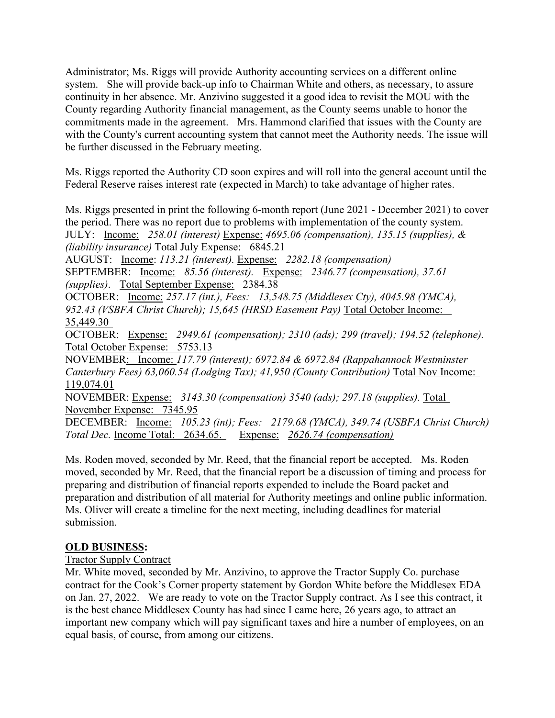Administrator; Ms. Riggs will provide Authority accounting services on a different online system. She will provide back-up info to Chairman White and others, as necessary, to assure continuity in her absence. Mr. Anzivino suggested it a good idea to revisit the MOU with the County regarding Authority financial management, as the County seems unable to honor the commitments made in the agreement. Mrs. Hammond clarified that issues with the County are with the County's current accounting system that cannot meet the Authority needs. The issue will be further discussed in the February meeting.

Ms. Riggs reported the Authority CD soon expires and will roll into the general account until the Federal Reserve raises interest rate (expected in March) to take advantage of higher rates.

Ms. Riggs presented in print the following 6-month report (June 2021 - December 2021) to cover the period. There was no report due to problems with implementation of the county system. JULY: Income: *258.01 (interest)* Expense: *4695.06 (compensation), 135.15 (supplies), & (liability insurance)* Total July Expense: 6845.21

AUGUST: Income: *113.21 (interest).* Expense: *2282.18 (compensation)*  SEPTEMBER: Income: *85.56 (interest).* Expense: *2346.77 (compensation), 37.61 (supplies)*. Total September Expense: 2384.38 OCTOBER: Income: *257.17 (int.), Fees: 13,548.75 (Middlesex Cty), 4045.98 (YMCA),* 

*952.43 (VSBFA Christ Church); 15,645 (HRSD Easement Pay)* Total October Income: 35,449.30

OCTOBER: Expense: *2949.61 (compensation); 2310 (ads); 299 (travel); 194.52 (telephone).* Total October Expense: 5753.13

NOVEMBER: Income: *117.79 (interest); 6972.84 & 6972.84 (Rappahannock Westminster Canterbury Fees) 63,060.54 (Lodging Tax); 41,950 (County Contribution)* Total Nov Income: 119,074.01

NOVEMBER: Expense: *3143.30 (compensation) 3540 (ads); 297.18 (supplies).* Total November Expense: 7345.95

DECEMBER: Income: *105.23 (int); Fees: 2179.68 (YMCA), 349.74 (USBFA Christ Church) Total Dec.* Income Total: 2634.65. Expense: *2626.74 (compensation)* 

Ms. Roden moved, seconded by Mr. Reed, that the financial report be accepted. Ms. Roden moved, seconded by Mr. Reed, that the financial report be a discussion of timing and process for preparing and distribution of financial reports expended to include the Board packet and preparation and distribution of all material for Authority meetings and online public information. Ms. Oliver will create a timeline for the next meeting, including deadlines for material submission.

## **OLD BUSINESS:**

## Tractor Supply Contract

Mr. White moved, seconded by Mr. Anzivino, to approve the Tractor Supply Co. purchase contract for the Cook's Corner property statement by Gordon White before the Middlesex EDA on Jan. 27, 2022. We are ready to vote on the Tractor Supply contract. As I see this contract, it is the best chance Middlesex County has had since I came here, 26 years ago, to attract an important new company which will pay significant taxes and hire a number of employees, on an equal basis, of course, from among our citizens.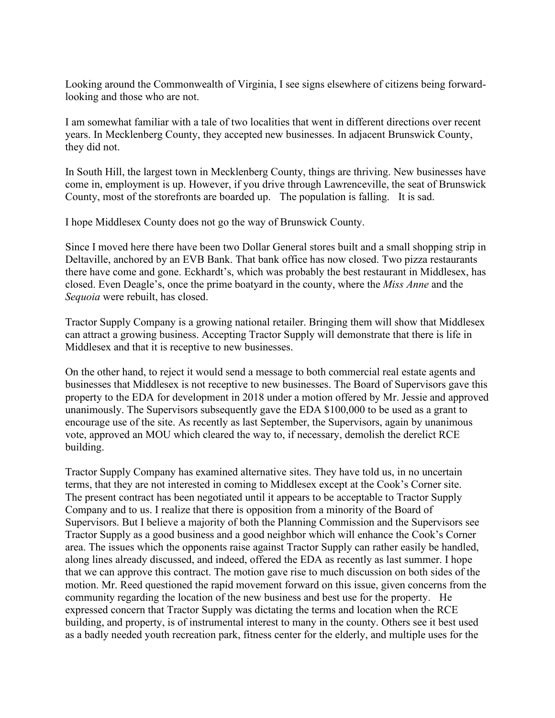Looking around the Commonwealth of Virginia, I see signs elsewhere of citizens being forwardlooking and those who are not.

I am somewhat familiar with a tale of two localities that went in different directions over recent years. In Mecklenberg County, they accepted new businesses. In adjacent Brunswick County, they did not.

In South Hill, the largest town in Mecklenberg County, things are thriving. New businesses have come in, employment is up. However, if you drive through Lawrenceville, the seat of Brunswick County, most of the storefronts are boarded up. The population is falling. It is sad.

I hope Middlesex County does not go the way of Brunswick County.

Since I moved here there have been two Dollar General stores built and a small shopping strip in Deltaville, anchored by an EVB Bank. That bank office has now closed. Two pizza restaurants there have come and gone. Eckhardt's, which was probably the best restaurant in Middlesex, has closed. Even Deagle's, once the prime boatyard in the county, where the *Miss Anne* and the *Sequoia* were rebuilt, has closed.

Tractor Supply Company is a growing national retailer. Bringing them will show that Middlesex can attract a growing business. Accepting Tractor Supply will demonstrate that there is life in Middlesex and that it is receptive to new businesses.

On the other hand, to reject it would send a message to both commercial real estate agents and businesses that Middlesex is not receptive to new businesses. The Board of Supervisors gave this property to the EDA for development in 2018 under a motion offered by Mr. Jessie and approved unanimously. The Supervisors subsequently gave the EDA \$100,000 to be used as a grant to encourage use of the site. As recently as last September, the Supervisors, again by unanimous vote, approved an MOU which cleared the way to, if necessary, demolish the derelict RCE building.

Tractor Supply Company has examined alternative sites. They have told us, in no uncertain terms, that they are not interested in coming to Middlesex except at the Cook's Corner site. The present contract has been negotiated until it appears to be acceptable to Tractor Supply Company and to us. I realize that there is opposition from a minority of the Board of Supervisors. But I believe a majority of both the Planning Commission and the Supervisors see Tractor Supply as a good business and a good neighbor which will enhance the Cook's Corner area. The issues which the opponents raise against Tractor Supply can rather easily be handled, along lines already discussed, and indeed, offered the EDA as recently as last summer. I hope that we can approve this contract. The motion gave rise to much discussion on both sides of the motion. Mr. Reed questioned the rapid movement forward on this issue, given concerns from the community regarding the location of the new business and best use for the property. He expressed concern that Tractor Supply was dictating the terms and location when the RCE building, and property, is of instrumental interest to many in the county. Others see it best used as a badly needed youth recreation park, fitness center for the elderly, and multiple uses for the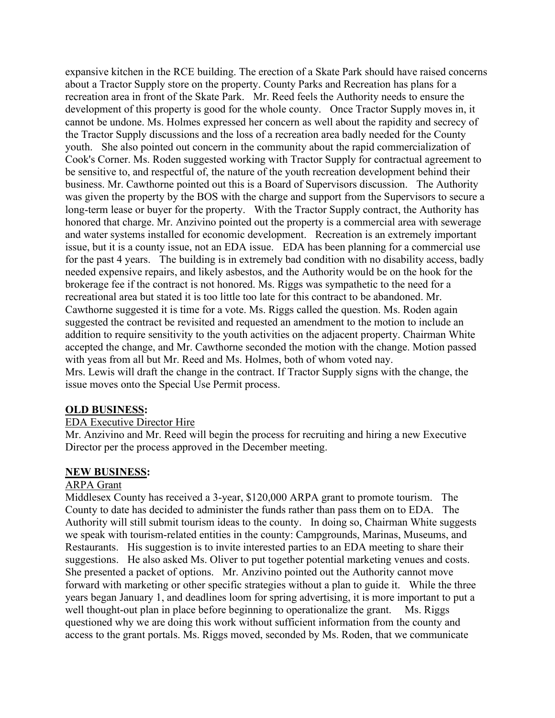expansive kitchen in the RCE building. The erection of a Skate Park should have raised concerns about a Tractor Supply store on the property. County Parks and Recreation has plans for a recreation area in front of the Skate Park. Mr. Reed feels the Authority needs to ensure the development of this property is good for the whole county. Once Tractor Supply moves in, it cannot be undone. Ms. Holmes expressed her concern as well about the rapidity and secrecy of the Tractor Supply discussions and the loss of a recreation area badly needed for the County youth. She also pointed out concern in the community about the rapid commercialization of Cook's Corner. Ms. Roden suggested working with Tractor Supply for contractual agreement to be sensitive to, and respectful of, the nature of the youth recreation development behind their business. Mr. Cawthorne pointed out this is a Board of Supervisors discussion. The Authority was given the property by the BOS with the charge and support from the Supervisors to secure a long-term lease or buyer for the property. With the Tractor Supply contract, the Authority has honored that charge. Mr. Anzivino pointed out the property is a commercial area with sewerage and water systems installed for economic development. Recreation is an extremely important issue, but it is a county issue, not an EDA issue. EDA has been planning for a commercial use for the past 4 years. The building is in extremely bad condition with no disability access, badly needed expensive repairs, and likely asbestos, and the Authority would be on the hook for the brokerage fee if the contract is not honored. Ms. Riggs was sympathetic to the need for a recreational area but stated it is too little too late for this contract to be abandoned. Mr. Cawthorne suggested it is time for a vote. Ms. Riggs called the question. Ms. Roden again suggested the contract be revisited and requested an amendment to the motion to include an addition to require sensitivity to the youth activities on the adjacent property. Chairman White accepted the change, and Mr. Cawthorne seconded the motion with the change. Motion passed with yeas from all but Mr. Reed and Ms. Holmes, both of whom voted nay. Mrs. Lewis will draft the change in the contract. If Tractor Supply signs with the change, the issue moves onto the Special Use Permit process.

#### **OLD BUSINESS:**

#### EDA Executive Director Hire

Mr. Anzivino and Mr. Reed will begin the process for recruiting and hiring a new Executive Director per the process approved in the December meeting.

#### **NEW BUSINESS:**

#### ARPA Grant

Middlesex County has received a 3-year, \$120,000 ARPA grant to promote tourism. The County to date has decided to administer the funds rather than pass them on to EDA. The Authority will still submit tourism ideas to the county. In doing so, Chairman White suggests we speak with tourism-related entities in the county: Campgrounds, Marinas, Museums, and Restaurants. His suggestion is to invite interested parties to an EDA meeting to share their suggestions. He also asked Ms. Oliver to put together potential marketing venues and costs. She presented a packet of options. Mr. Anzivino pointed out the Authority cannot move forward with marketing or other specific strategies without a plan to guide it. While the three years began January 1, and deadlines loom for spring advertising, it is more important to put a well thought-out plan in place before beginning to operationalize the grant. Ms. Riggs questioned why we are doing this work without sufficient information from the county and access to the grant portals. Ms. Riggs moved, seconded by Ms. Roden, that we communicate